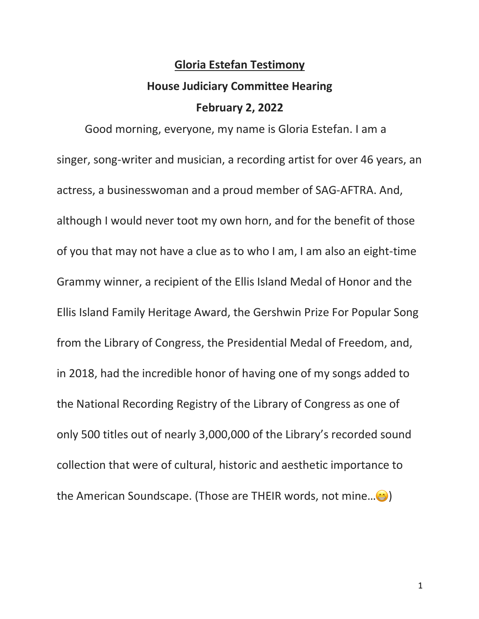## **Gloria Estefan Testimony**

## **House Judiciary Committee Hearing February 2, 2022**

Good morning, everyone, my name is Gloria Estefan. I am a singer, song-writer and musician, a recording artist for over 46 years, an actress, a businesswoman and a proud member of SAG-AFTRA. And, although I would never toot my own horn, and for the benefit of those of you that may not have a clue as to who I am, I am also an eight-time Grammy winner, a recipient of the Ellis Island Medal of Honor and the Ellis Island Family Heritage Award, the Gershwin Prize For Popular Song from the Library of Congress, the Presidential Medal of Freedom, and, in 2018, had the incredible honor of having one of my songs added to the National Recording Registry of the Library of Congress as one of only 500 titles out of nearly 3,000,000 of the Library's recorded sound collection that were of cultural, historic and aesthetic importance to the American Soundscape. (Those are THEIR words, not mine........................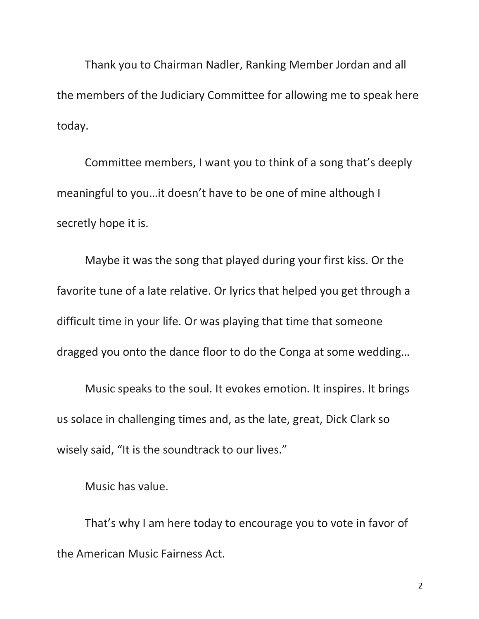Thank you to Chairman Nadler, Ranking Member Jordan and all the members of the Judiciary Committee for allowing me to speak here today.

Committee members, I want you to think of a song that's deeply meaningful to you…it doesn't have to be one of mine although I secretly hope it is.

Maybe it was the song that played during your first kiss. Or the favorite tune of a late relative. Or lyrics that helped you get through a difficult time in your life. Or was playing that time that someone dragged you onto the dance floor to do the Conga at some wedding…

Music speaks to the soul. It evokes emotion. It inspires. It brings us solace in challenging times and, as the late, great, Dick Clark so wisely said, "It is the soundtrack to our lives."

Music has value.

That's why I am here today to encourage you to vote in favor of the American Music Fairness Act.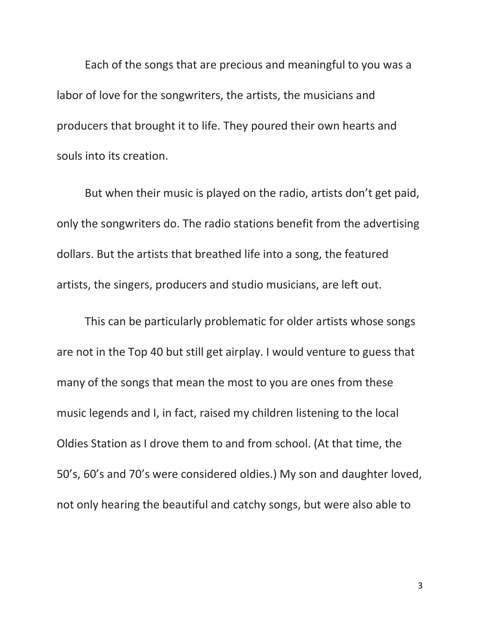Each of the songs that are precious and meaningful to you was a labor of love for the songwriters, the artists, the musicians and producers that brought it to life. They poured their own hearts and souls into its creation.

But when their music is played on the radio, artists don't get paid, only the songwriters do. The radio stations benefit from the advertising dollars. But the artists that breathed life into a song, the featured artists, the singers, producers and studio musicians, are left out.

This can be particularly problematic for older artists whose songs are not in the Top 40 but still get airplay. I would venture to guess that many of the songs that mean the most to you are ones from these music legends and I, in fact, raised my children listening to the local Oldies Station as I drove them to and from school. (At that time, the 50's, 60's and 70's were considered oldies.) My son and daughter loved, not only hearing the beautiful and catchy songs, but were also able to

3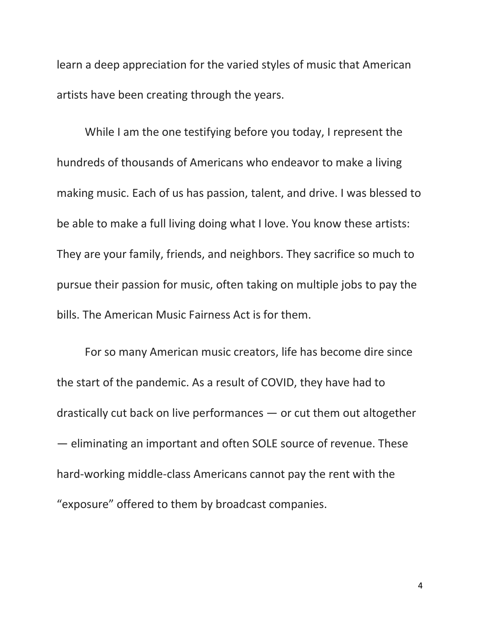learn a deep appreciation for the varied styles of music that American artists have been creating through the years.

While I am the one testifying before you today, I represent the hundreds of thousands of Americans who endeavor to make a living making music. Each of us has passion, talent, and drive. I was blessed to be able to make a full living doing what I love. You know these artists: They are your family, friends, and neighbors. They sacrifice so much to pursue their passion for music, often taking on multiple jobs to pay the bills. The American Music Fairness Act is for them.

For so many American music creators, life has become dire since the start of the pandemic. As a result of COVID, they have had to drastically cut back on live performances — or cut them out altogether — eliminating an important and often SOLE source of revenue. These hard-working middle-class Americans cannot pay the rent with the "exposure" offered to them by broadcast companies.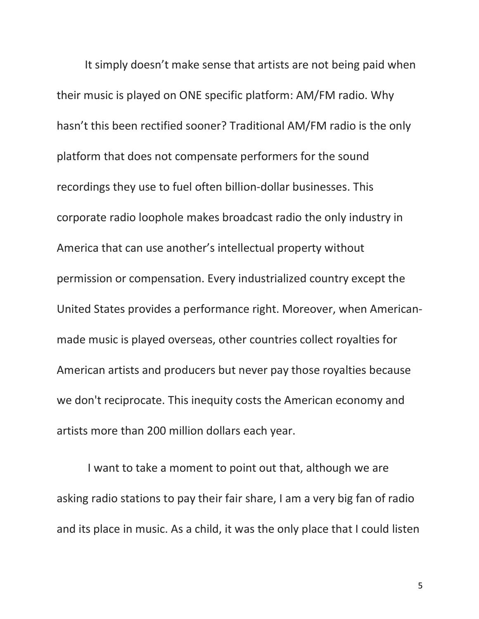It simply doesn't make sense that artists are not being paid when their music is played on ONE specific platform: AM/FM radio. Why hasn't this been rectified sooner? Traditional AM/FM radio is the only platform that does not compensate performers for the sound recordings they use to fuel often billion-dollar businesses. This corporate radio loophole makes broadcast radio the only industry in America that can use another's intellectual property without permission or compensation. Every industrialized country except the United States provides a performance right. Moreover, when Americanmade music is played overseas, other countries collect royalties for American artists and producers but never pay those royalties because we don't reciprocate. This inequity costs the American economy and artists more than 200 million dollars each year.

I want to take a moment to point out that, although we are asking radio stations to pay their fair share, I am a very big fan of radio and its place in music. As a child, it was the only place that I could listen

5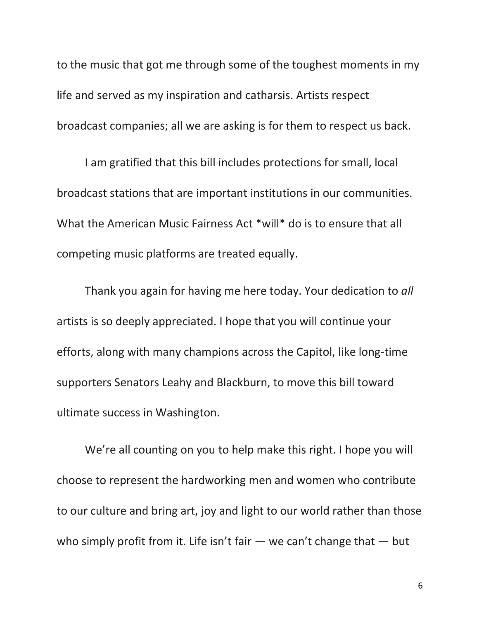to the music that got me through some of the toughest moments in my life and served as my inspiration and catharsis. Artists respect broadcast companies; all we are asking is for them to respect us back.

I am gratified that this bill includes protections for small, local broadcast stations that are important institutions in our communities. What the American Music Fairness Act \*will\* do is to ensure that all competing music platforms are treated equally.

Thank you again for having me here today. Your dedication to *all*  artists is so deeply appreciated. I hope that you will continue your efforts, along with many champions across the Capitol, like long-time supporters Senators Leahy and Blackburn, to move this bill toward ultimate success in Washington.

We're all counting on you to help make this right. I hope you will choose to represent the hardworking men and women who contribute to our culture and bring art, joy and light to our world rather than those who simply profit from it. Life isn't fair  $-$  we can't change that  $-$  but

6